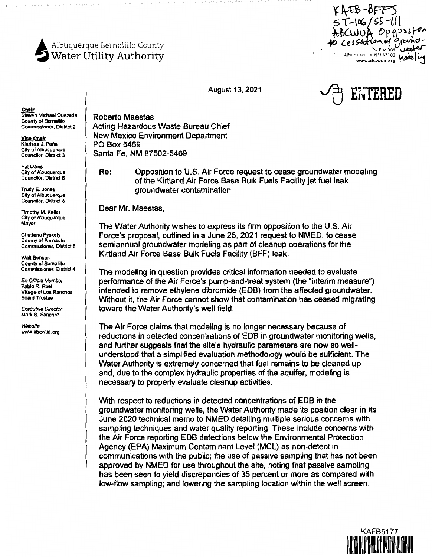

FB-BFF  $351$ fon 8000 Lessation of grand-Albuquerque, NM 87103 Modeling



**Chair**  Steven Michael Quezada County of Bernalillo Commissioner, District 2

**Vice Chair**  Klarissa J. **Pena**  City of Albuquerque Councilor, District 3

Pat **Davis**  City of Albuquerque Councilor, District 6

Trudy E. Jones City of Albuquerque Councilor, District 8

Timothy M. Keller City of Albuquerque Mayor

Charlene Pyskoty County of Bernalillo Commissioner, District **5** 

Walt Benson County of Bernalillo Commissioner, District **4** 

Ex-Officio Membe Pablo R. Rael **Village** of Los Ranchos Board Trustee

Executive Director Mark S. Sanchez

Website www.abcwua.org Roberto Maestas Acting Hazardous Waste Bureau Chief New Mexico Environment Department PO Box 5469 Santa Fe, NM 87502-5469

**Re:** Opposition to U.S. Air Force request to cease groundwater modeling of the Kirtland Air Force Base Bulk Fuels Facility jet fuel leak groundwater contamination

Dear Mr. Maestas,

The Water Authority wishes to express its firm opposition to the U.S. Air Force's proposal, outlined in a June 25, 2021 request to NMED, to cease semiannual groundwater modeling as part of cleanup operations for the Kirtland Air Force Base Bulk Fuels Facility (BFF) leak.

The modeling in question provides critical information needed to evaluate performance of the Air Force's pump-and-treat system (the "interim measure") intended to remove ethylene dibromide (EDB) from the affected groundwater. Without it, the Air Force cannot show that contamination has ceased migrating toward the Water Authority's well field.

The Air Force claims that modeling is no longer necessary because of reductions in detected concentrations of EDB in groundwater monitoring wells, and further suggests that the site's hydraulic parameters are now so wellunderstood that a simplified evaluation methodology would be sufficient. The Water Authority is extremely concerned that fuel remains to be cleaned up and, due to the complex hydraulic properties of the aquifer, modeling is necessary to properly evaluate cleanup activities.

With respect to reductions in detected concentrations of EDB in the groundwater monitoring wells, the Water Authority made its position clear in its June 2020 technical memo to NMED detailing multiple serious concerns with sampling techniques and water quality reporting. These include concerns with the Air Force reporting EDB detections below the Environmental Protection Agency (EPA) Maximum Contaminant Level (MCL) as non-detect in communications with the public; the use of passive sampling that has not been approved by NMED for use throughout the site, noting that passive sampling has been seen to yield discrepancies of 35 percent or more as compared with low-flow sampling; and lowering the sampling location within the well screen,

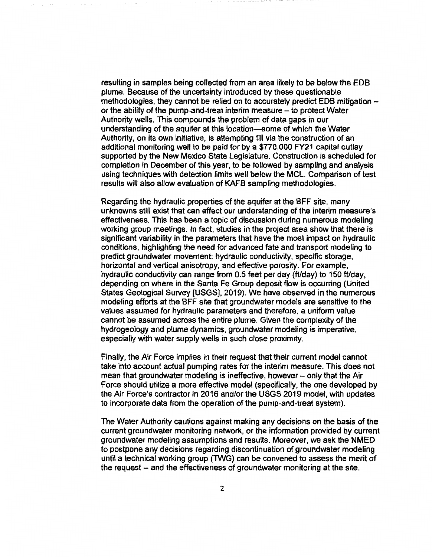resulting in samples being collected from an area likely to be below the EDB plume. Because of the uncertainty introduced by these questionable methodologies, they cannot be relied on to accurately predict EDB mitigation or the ability of the pump-and-treat interim measure  $-$  to protect Water Authority wells. This compounds the problem of data gaps in our understanding of the aquifer at this location-some of which the Water Authority, on its own initiative, is attempting fill via the construction of an additional monitoring well to be paid for by a \$770,000 FY21 capital outlay supported by the New Mexico State Legislature. Construction is scheduled for completion in December of this year, to be followed by sampling and analysis using techniques with detection limits well below the MCL. Comparison of test results will also allow evaluation of KAFB sampling methodologies.

Regarding the hydraulic properties of the aquifer at the BFF site, many unknowns still exist that can affect our understanding of the interim measure's effectiveness. This has been a topic of discussion during numerous modeling working group meetings. In fact, studies in the project area show that there is significant variability in the parameters that have the most impact on hydraulic conditions, highlighting the need for advanced fate and transport modeling to predict groundwater movement: hydraulic conductivity, specific storage, horizontal and vertical anisotropy, and effective porosity. For example, hydraulic conductivity can range from 0.5 feet per day (ft/day) to 150 ft/day, depending on where in the Santa Fe Group deposit flow is occurring (United States Geological Survey [USGS], 2019). We have observed in the numerous modeling efforts at the BFF site that groundwater models are sensitive to the values assumed for hydraulic parameters and therefore, a uniform value cannot be assumed across the entire plume. Given the complexity of the hydrogeology and plume dynamics, groundwater modeling is imperative, especially with water supply wells in such close proximity.

Finally, the Air Force implies in their request that their current model cannot take into account actual pumping rates for the interim measure. This does not mean that groundwater modeling is ineffective, however – only that the Air Force should utilize a more effective model (specifically, the one developed by the Air Force's contractor in 2016 and/or the USGS 2019 model, with updates to incorporate data from the operation of the pump-and-treat system).

The Water Authority cautions against making any decisions on the basis of the current groundwater monitoring network, or the information provided by current groundwater modeling assumptions and results. Moreover, we ask the NMED to postpone any decisions regarding discontinuation of groundwater modeling until a technical working group (TWG) can be convened to assess the merit of the request -- and the effectiveness of groundwater monitoring at the site.